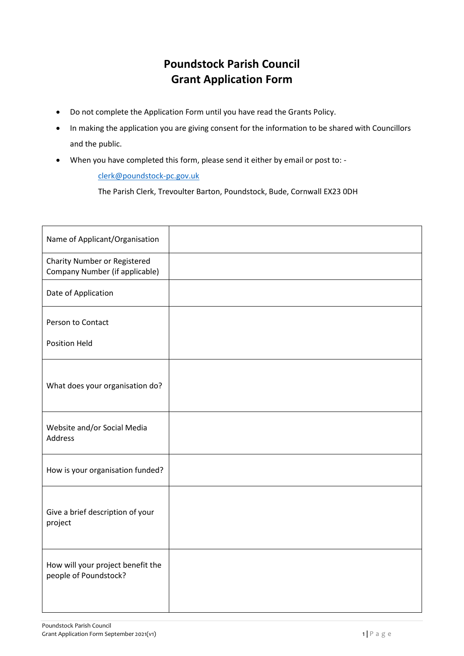## **Poundstock Parish Council Grant Application Form**

- Do not complete the Application Form until you have read the Grants Policy.
- In making the application you are giving consent for the information to be shared with Councillors and the public.
- When you have completed this form, please send it either by email or post to: -

[clerk@poundstock-pc.gov.uk](mailto:clerk@poundstock-pc.gov.uk)

The Parish Clerk, Trevoulter Barton, Poundstock, Bude, Cornwall EX23 0DH

| Name of Applicant/Organisation                                        |  |
|-----------------------------------------------------------------------|--|
| <b>Charity Number or Registered</b><br>Company Number (if applicable) |  |
| Date of Application                                                   |  |
| Person to Contact                                                     |  |
| <b>Position Held</b>                                                  |  |
| What does your organisation do?                                       |  |
| Website and/or Social Media<br>Address                                |  |
| How is your organisation funded?                                      |  |
| Give a brief description of your<br>project                           |  |
| How will your project benefit the<br>people of Poundstock?            |  |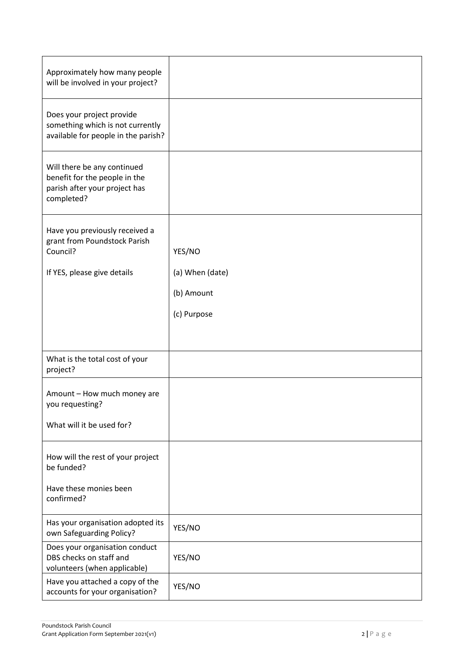| Approximately how many people<br>will be involved in your project?                                          |                 |
|-------------------------------------------------------------------------------------------------------------|-----------------|
| Does your project provide<br>something which is not currently<br>available for people in the parish?        |                 |
| Will there be any continued<br>benefit for the people in the<br>parish after your project has<br>completed? |                 |
| Have you previously received a<br>grant from Poundstock Parish<br>Council?                                  | YES/NO          |
| If YES, please give details                                                                                 | (a) When (date) |
|                                                                                                             | (b) Amount      |
|                                                                                                             | (c) Purpose     |
|                                                                                                             |                 |
| What is the total cost of your<br>project?                                                                  |                 |
| Amount - How much money are<br>you requesting?                                                              |                 |
| What will it be used for?                                                                                   |                 |
| How will the rest of your project<br>be funded?                                                             |                 |
| Have these monies been<br>confirmed?                                                                        |                 |
| Has your organisation adopted its<br>own Safeguarding Policy?                                               | YES/NO          |
| Does your organisation conduct<br>DBS checks on staff and<br>volunteers (when applicable)                   | YES/NO          |
| Have you attached a copy of the<br>accounts for your organisation?                                          | YES/NO          |